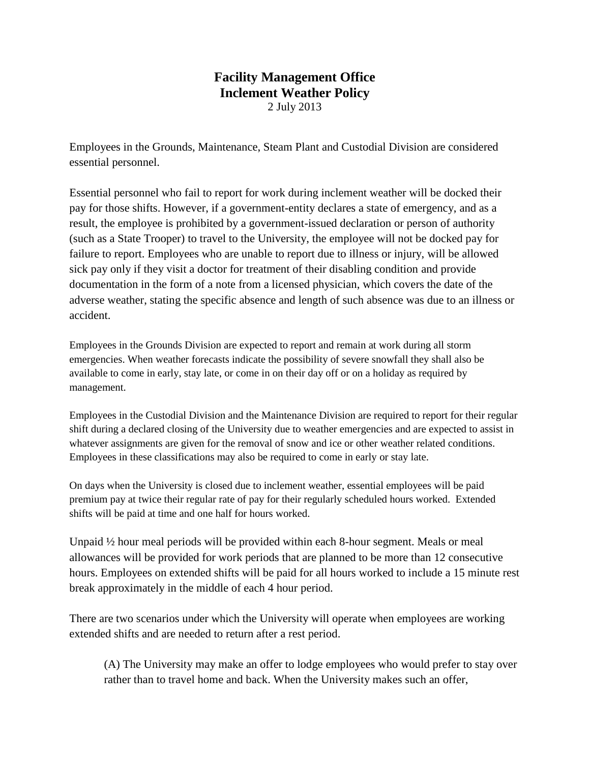## **Facility Management Office Inclement Weather Policy** 2 July 2013

Employees in the Grounds, Maintenance, Steam Plant and Custodial Division are considered essential personnel.

Essential personnel who fail to report for work during inclement weather will be docked their pay for those shifts. However, if a government-entity declares a state of emergency, and as a result, the employee is prohibited by a government-issued declaration or person of authority (such as a State Trooper) to travel to the University, the employee will not be docked pay for failure to report. Employees who are unable to report due to illness or injury, will be allowed sick pay only if they visit a doctor for treatment of their disabling condition and provide documentation in the form of a note from a licensed physician, which covers the date of the adverse weather, stating the specific absence and length of such absence was due to an illness or accident.

Employees in the Grounds Division are expected to report and remain at work during all storm emergencies. When weather forecasts indicate the possibility of severe snowfall they shall also be available to come in early, stay late, or come in on their day off or on a holiday as required by management.

Employees in the Custodial Division and the Maintenance Division are required to report for their regular shift during a declared closing of the University due to weather emergencies and are expected to assist in whatever assignments are given for the removal of snow and ice or other weather related conditions. Employees in these classifications may also be required to come in early or stay late.

On days when the University is closed due to inclement weather, essential employees will be paid premium pay at twice their regular rate of pay for their regularly scheduled hours worked. Extended shifts will be paid at time and one half for hours worked.

Unpaid ½ hour meal periods will be provided within each 8-hour segment. Meals or meal allowances will be provided for work periods that are planned to be more than 12 consecutive hours. Employees on extended shifts will be paid for all hours worked to include a 15 minute rest break approximately in the middle of each 4 hour period.

There are two scenarios under which the University will operate when employees are working extended shifts and are needed to return after a rest period.

(A) The University may make an offer to lodge employees who would prefer to stay over rather than to travel home and back. When the University makes such an offer,